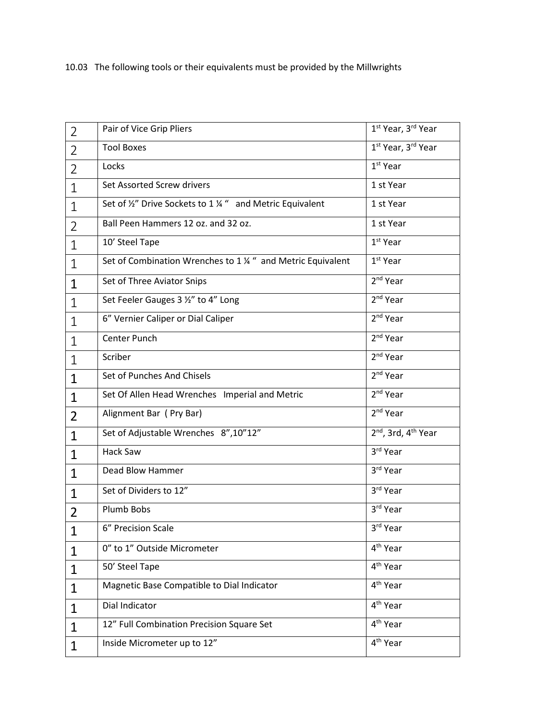## 10.03 The following tools or their equivalents must be provided by the Millwrights

| $\overline{2}$ | Pair of Vice Grip Pliers                                   | 1 <sup>st</sup> Year, 3rd Year    |
|----------------|------------------------------------------------------------|-----------------------------------|
| $\overline{2}$ | <b>Tool Boxes</b>                                          | 1 <sup>st</sup> Year, 3rd Year    |
| $\overline{2}$ | Locks                                                      | $1st$ Year                        |
| $\mathbf{1}$   | Set Assorted Screw drivers                                 | 1 st Year                         |
| $\mathbf{1}$   | Set of 1/2" Drive Sockets to 1 1/4 " and Metric Equivalent | 1 st Year                         |
| $\overline{2}$ | Ball Peen Hammers 12 oz. and 32 oz.                        | 1 st Year                         |
| $\mathbf{1}$   | 10' Steel Tape                                             | $1st$ Year                        |
| $\mathbf{1}$   | Set of Combination Wrenches to 1 % " and Metric Equivalent | $1st$ Year                        |
| $\mathbf{1}$   | Set of Three Aviator Snips                                 | 2 <sup>nd</sup> Year              |
| $\mathbf{1}$   | Set Feeler Gauges 3 1/2" to 4" Long                        | 2 <sup>nd</sup> Year              |
| 1              | 6" Vernier Caliper or Dial Caliper                         | 2 <sup>nd</sup> Year              |
| $\mathbf{1}$   | Center Punch                                               | 2 <sup>nd</sup> Year              |
| $\mathbf{1}$   | Scriber                                                    | 2 <sup>nd</sup> Year              |
| $\mathbf{1}$   | Set of Punches And Chisels                                 | 2 <sup>nd</sup> Year              |
| 1              | Set Of Allen Head Wrenches Imperial and Metric             | 2 <sup>nd</sup> Year              |
| $\overline{2}$ | Alignment Bar (Pry Bar)                                    | $2nd$ Year                        |
| $\mathbf{1}$   | Set of Adjustable Wrenches 8",10"12"                       | $2nd$ , 3rd, 4 <sup>th</sup> Year |
| $\mathbf{1}$   | Hack Saw                                                   | 3rd Year                          |
| $\mathbf{1}$   | Dead Blow Hammer                                           | 3rd Year                          |
| $\mathbf{1}$   | Set of Dividers to 12"                                     | 3rd Year                          |
| $\overline{2}$ | Plumb Bobs                                                 | 3rd Year                          |
| $\mathbf{1}$   | 6" Precision Scale                                         | 3 <sup>rd</sup> Year              |
| 1              | 0" to 1" Outside Micrometer                                | 4 <sup>th</sup> Year              |
| $\mathbf{1}$   | 50' Steel Tape                                             | 4 <sup>th</sup> Year              |
| $\mathbf{1}$   | Magnetic Base Compatible to Dial Indicator                 | 4 <sup>th</sup> Year              |
| $\mathbf{1}$   | Dial Indicator                                             | 4 <sup>th</sup> Year              |
| 1              | 12" Full Combination Precision Square Set                  | 4 <sup>th</sup> Year              |
| $\mathbf{1}$   | Inside Micrometer up to 12"                                | 4 <sup>th</sup> Year              |